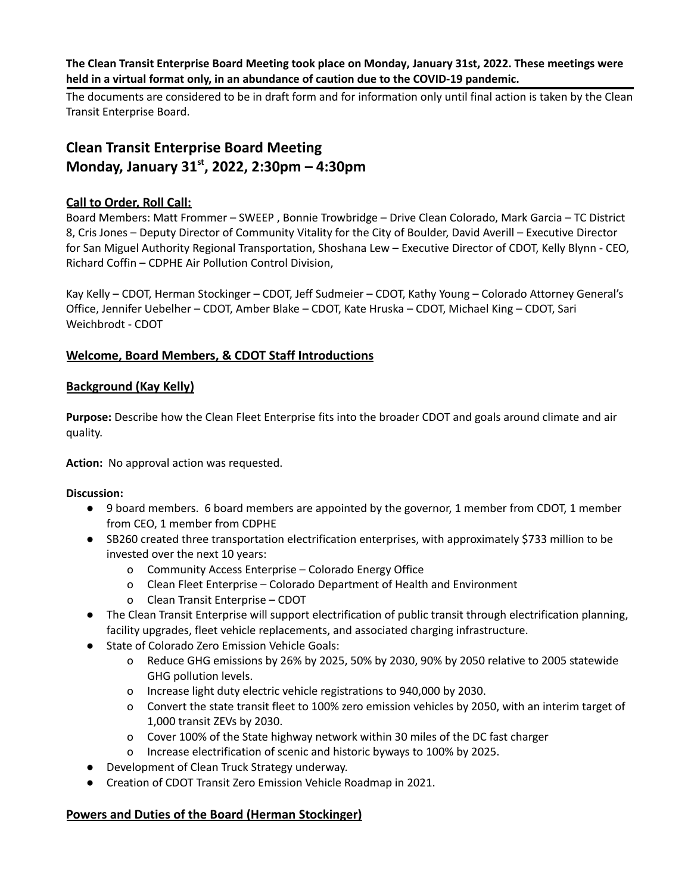**The Clean Transit Enterprise Board Meeting took place on Monday, January 31st, 2022. These meetings were held in a virtual format only, in an abundance of caution due to the COVID-19 pandemic.**

The documents are considered to be in draft form and for information only until final action is taken by the Clean Transit Enterprise Board.

# **Clean Transit Enterprise Board Meeting Monday, January 31 st , 2022, 2:30pm – 4:30pm**

# **Call to Order, Roll Call:**

Board Members: Matt Frommer – SWEEP , Bonnie Trowbridge – Drive Clean Colorado, Mark Garcia – TC District 8, Cris Jones – Deputy Director of Community Vitality for the City of Boulder, David Averill – Executive Director for San Miguel Authority Regional Transportation, Shoshana Lew – Executive Director of CDOT, Kelly Blynn - CEO, Richard Coffin – CDPHE Air Pollution Control Division,

Kay Kelly – CDOT, Herman Stockinger – CDOT, Jeff Sudmeier – CDOT, Kathy Young – Colorado Attorney General's Office, Jennifer Uebelher – CDOT, Amber Blake – CDOT, Kate Hruska – CDOT, Michael King – CDOT, Sari Weichbrodt - CDOT

# **Welcome, Board Members, & CDOT Staff Introductions**

# **Background (Kay Kelly)**

**Purpose:** Describe how the Clean Fleet Enterprise fits into the broader CDOT and goals around climate and air quality.

**Action:** No approval action was requested.

# **Discussion:**

- 9 board members. 6 board members are appointed by the governor, 1 member from CDOT, 1 member from CEO, 1 member from CDPHE
- SB260 created three transportation electrification enterprises, with approximately \$733 million to be invested over the next 10 years:
	- o Community Access Enterprise Colorado Energy Office
	- o Clean Fleet Enterprise Colorado Department of Health and Environment
	- o Clean Transit Enterprise CDOT
- The Clean Transit Enterprise will support electrification of public transit through electrification planning, facility upgrades, fleet vehicle replacements, and associated charging infrastructure.
- State of Colorado Zero Emission Vehicle Goals:
	- o Reduce GHG emissions by 26% by 2025, 50% by 2030, 90% by 2050 relative to 2005 statewide GHG pollution levels.
	- o Increase light duty electric vehicle registrations to 940,000 by 2030.
	- o Convert the state transit fleet to 100% zero emission vehicles by 2050, with an interim target of 1,000 transit ZEVs by 2030.
	- o Cover 100% of the State highway network within 30 miles of the DC fast charger
	- o Increase electrification of scenic and historic byways to 100% by 2025.
- Development of Clean Truck Strategy underway.
- Creation of CDOT Transit Zero Emission Vehicle Roadmap in 2021.

# **Powers and Duties of the Board (Herman Stockinger)**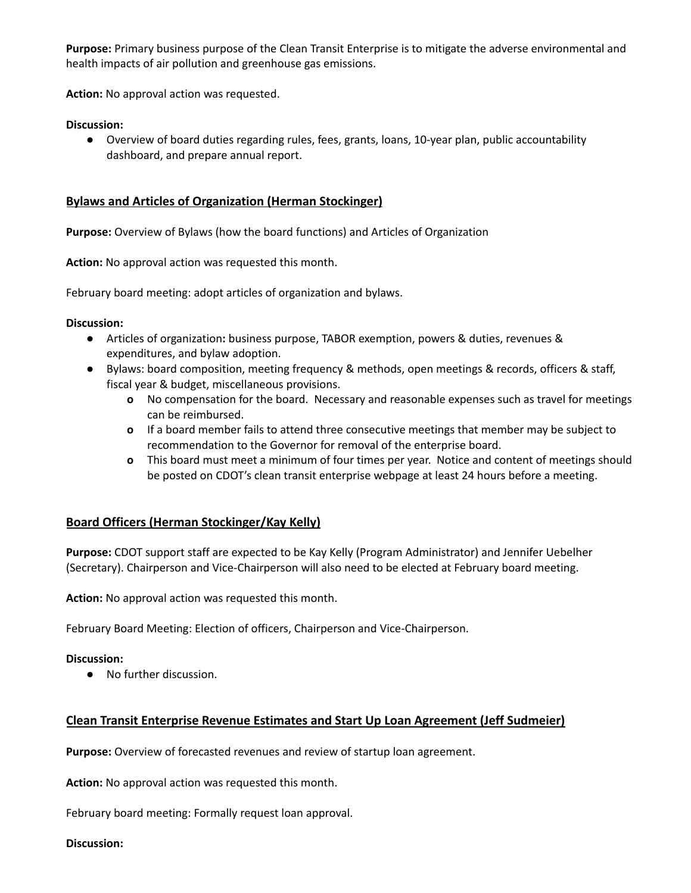**Purpose:** Primary business purpose of the Clean Transit Enterprise is to mitigate the adverse environmental and health impacts of air pollution and greenhouse gas emissions.

**Action:** No approval action was requested.

#### **Discussion:**

● Overview of board duties regarding rules, fees, grants, loans, 10-year plan, public accountability dashboard, and prepare annual report.

#### **Bylaws and Articles of Organization (Herman Stockinger)**

**Purpose:** Overview of Bylaws (how the board functions) and Articles of Organization

**Action:** No approval action was requested this month.

February board meeting: adopt articles of organization and bylaws.

#### **Discussion:**

- **●** Articles of organization**:** business purpose, TABOR exemption, powers & duties, revenues & expenditures, and bylaw adoption.
- **●** Bylaws: board composition, meeting frequency & methods, open meetings & records, officers & staff, fiscal year & budget, miscellaneous provisions.
	- **o** No compensation for the board. Necessary and reasonable expenses such as travel for meetings can be reimbursed.
	- **o** If a board member fails to attend three consecutive meetings that member may be subject to recommendation to the Governor for removal of the enterprise board.
	- **o** This board must meet a minimum of four times per year. Notice and content of meetings should be posted on CDOT's clean transit enterprise webpage at least 24 hours before a meeting.

#### **Board Officers (Herman Stockinger/Kay Kelly)**

**Purpose:** CDOT support staff are expected to be Kay Kelly (Program Administrator) and Jennifer Uebelher (Secretary). Chairperson and Vice-Chairperson will also need to be elected at February board meeting.

**Action:** No approval action was requested this month.

February Board Meeting: Election of officers, Chairperson and Vice-Chairperson.

#### **Discussion:**

● No further discussion.

# **Clean Transit Enterprise Revenue Estimates and Start Up Loan Agreement (Jeff Sudmeier)**

**Purpose:** Overview of forecasted revenues and review of startup loan agreement.

**Action:** No approval action was requested this month.

February board meeting: Formally request loan approval.

#### **Discussion:**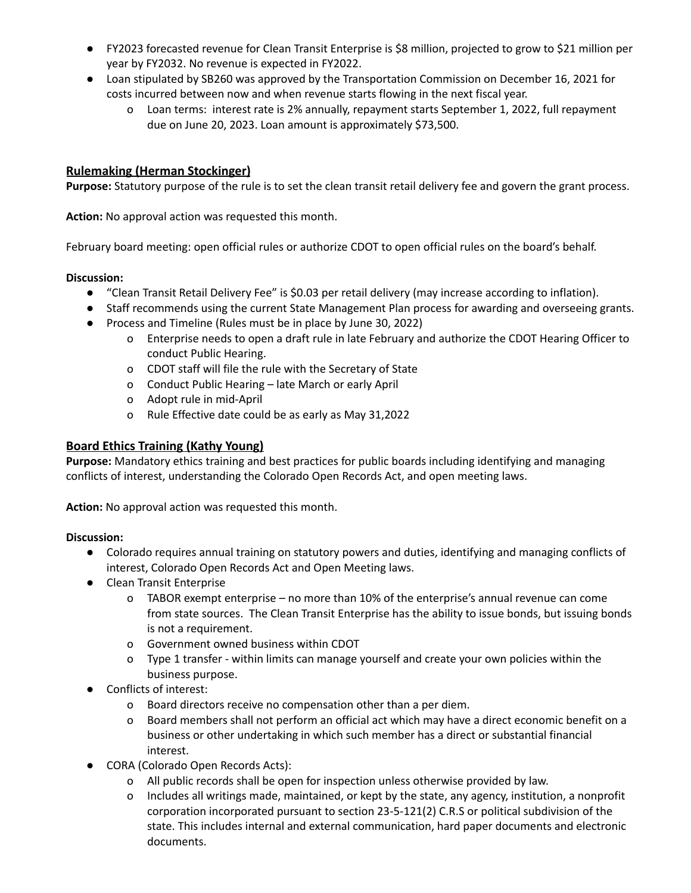- FY2023 forecasted revenue for Clean Transit Enterprise is \$8 million, projected to grow to \$21 million per year by FY2032. No revenue is expected in FY2022.
- Loan stipulated by SB260 was approved by the Transportation Commission on December 16, 2021 for costs incurred between now and when revenue starts flowing in the next fiscal year.
	- o Loan terms: interest rate is 2% annually, repayment starts September 1, 2022, full repayment due on June 20, 2023. Loan amount is approximately \$73,500.

# **Rulemaking (Herman Stockinger)**

**Purpose:** Statutory purpose of the rule is to set the clean transit retail delivery fee and govern the grant process.

**Action:** No approval action was requested this month.

February board meeting: open official rules or authorize CDOT to open official rules on the board's behalf.

#### **Discussion:**

- "Clean Transit Retail Delivery Fee" is \$0.03 per retail delivery (may increase according to inflation).
- Staff recommends using the current State Management Plan process for awarding and overseeing grants.
- Process and Timeline (Rules must be in place by June 30, 2022)
	- o Enterprise needs to open a draft rule in late February and authorize the CDOT Hearing Officer to conduct Public Hearing.
	- o CDOT staff will file the rule with the Secretary of State
	- o Conduct Public Hearing late March or early April
	- o Adopt rule in mid-April
	- o Rule Effective date could be as early as May 31,2022

#### **Board Ethics Training (Kathy Young)**

**Purpose:** Mandatory ethics training and best practices for public boards including identifying and managing conflicts of interest, understanding the Colorado Open Records Act, and open meeting laws.

**Action:** No approval action was requested this month.

#### **Discussion:**

- Colorado requires annual training on statutory powers and duties, identifying and managing conflicts of interest, Colorado Open Records Act and Open Meeting laws.
- Clean Transit Enterprise
	- o TABOR exempt enterprise no more than 10% of the enterprise's annual revenue can come from state sources. The Clean Transit Enterprise has the ability to issue bonds, but issuing bonds is not a requirement.
	- o Government owned business within CDOT
	- o Type 1 transfer within limits can manage yourself and create your own policies within the business purpose.
- Conflicts of interest:
	- o Board directors receive no compensation other than a per diem.
	- o Board members shall not perform an official act which may have a direct economic benefit on a business or other undertaking in which such member has a direct or substantial financial interest.
- CORA (Colorado Open Records Acts):
	- o All public records shall be open for inspection unless otherwise provided by law.
	- o Includes all writings made, maintained, or kept by the state, any agency, institution, a nonprofit corporation incorporated pursuant to section 23-5-121(2) C.R.S or political subdivision of the state. This includes internal and external communication, hard paper documents and electronic documents.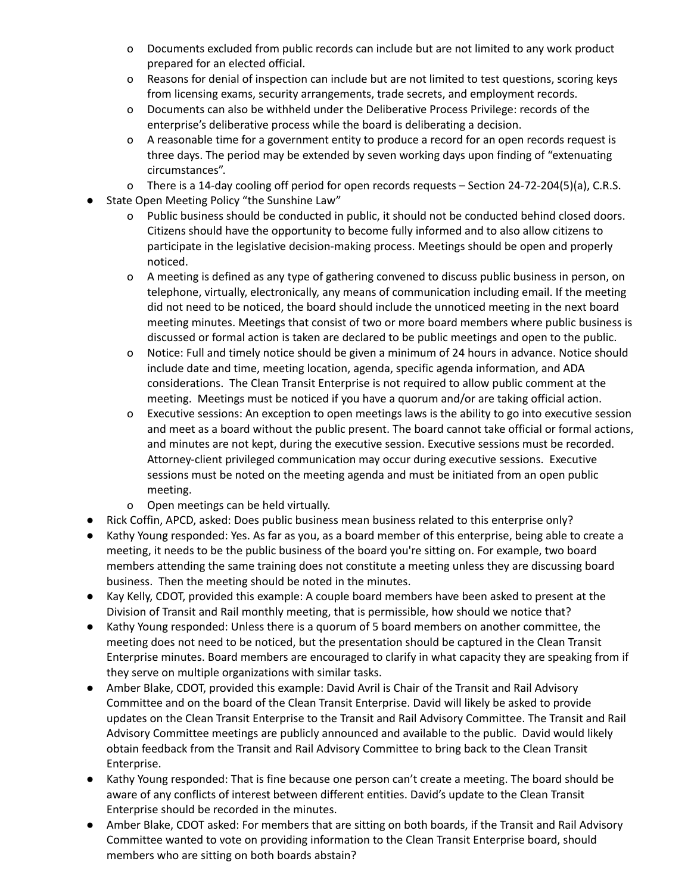- o Documents excluded from public records can include but are not limited to any work product prepared for an elected official.
- o Reasons for denial of inspection can include but are not limited to test questions, scoring keys from licensing exams, security arrangements, trade secrets, and employment records.
- o Documents can also be withheld under the Deliberative Process Privilege: records of the enterprise's deliberative process while the board is deliberating a decision.
- o A reasonable time for a government entity to produce a record for an open records request is three days. The period may be extended by seven working days upon finding of "extenuating circumstances".
- o There is a 14-day cooling off period for open records requests Section 24-72-204(5)(a), C.R.S.
- State Open Meeting Policy "the Sunshine Law"
	- o Public business should be conducted in public, it should not be conducted behind closed doors. Citizens should have the opportunity to become fully informed and to also allow citizens to participate in the legislative decision-making process. Meetings should be open and properly noticed.
	- o A meeting is defined as any type of gathering convened to discuss public business in person, on telephone, virtually, electronically, any means of communication including email. If the meeting did not need to be noticed, the board should include the unnoticed meeting in the next board meeting minutes. Meetings that consist of two or more board members where public business is discussed or formal action is taken are declared to be public meetings and open to the public.
	- o Notice: Full and timely notice should be given a minimum of 24 hours in advance. Notice should include date and time, meeting location, agenda, specific agenda information, and ADA considerations. The Clean Transit Enterprise is not required to allow public comment at the meeting. Meetings must be noticed if you have a quorum and/or are taking official action.
	- o Executive sessions: An exception to open meetings laws is the ability to go into executive session and meet as a board without the public present. The board cannot take official or formal actions, and minutes are not kept, during the executive session. Executive sessions must be recorded. Attorney-client privileged communication may occur during executive sessions. Executive sessions must be noted on the meeting agenda and must be initiated from an open public meeting.
	- o Open meetings can be held virtually.
- Rick Coffin, APCD, asked: Does public business mean business related to this enterprise only?
- Kathy Young responded: Yes. As far as you, as a board member of this enterprise, being able to create a meeting, it needs to be the public business of the board you're sitting on. For example, two board members attending the same training does not constitute a meeting unless they are discussing board business. Then the meeting should be noted in the minutes.
- Kay Kelly, CDOT, provided this example: A couple board members have been asked to present at the Division of Transit and Rail monthly meeting, that is permissible, how should we notice that?
- Kathy Young responded: Unless there is a quorum of 5 board members on another committee, the meeting does not need to be noticed, but the presentation should be captured in the Clean Transit Enterprise minutes. Board members are encouraged to clarify in what capacity they are speaking from if they serve on multiple organizations with similar tasks.
- Amber Blake, CDOT, provided this example: David Avril is Chair of the Transit and Rail Advisory Committee and on the board of the Clean Transit Enterprise. David will likely be asked to provide updates on the Clean Transit Enterprise to the Transit and Rail Advisory Committee. The Transit and Rail Advisory Committee meetings are publicly announced and available to the public. David would likely obtain feedback from the Transit and Rail Advisory Committee to bring back to the Clean Transit Enterprise.
- Kathy Young responded: That is fine because one person can't create a meeting. The board should be aware of any conflicts of interest between different entities. David's update to the Clean Transit Enterprise should be recorded in the minutes.
- Amber Blake, CDOT asked: For members that are sitting on both boards, if the Transit and Rail Advisory Committee wanted to vote on providing information to the Clean Transit Enterprise board, should members who are sitting on both boards abstain?